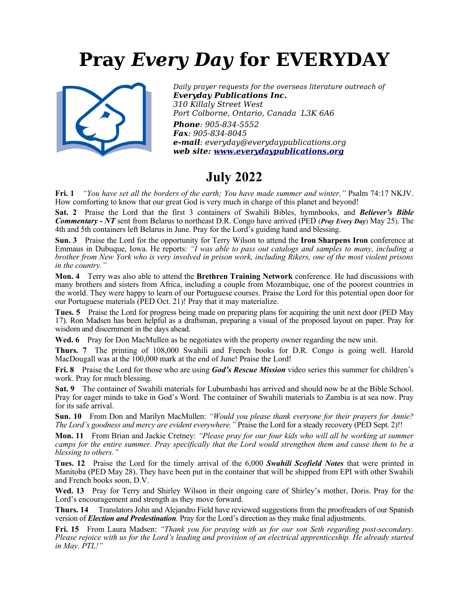# **Pray** *Every Day* **for EVERYDAY**



*Daily prayer requests for the overseas literature outreach of Everyday Publications Inc. 310 Killaly Street West Port Colborne, Ontario, Canada L3K 6A6 Phone: 905-834-5552 Fax: 905-834-8045 e-mail: everyday@everydaypublications.org web site: [www.everydaypublications.org](http://www.everydaypublications.org/)*

### **July 2022**

**Fri. 1** *"You have set all the borders of the earth; You have made summer and winter,"* Psalm 74:17 NKJV. How comforting to know that our great God is very much in charge of this planet and beyond!

**Sat. 2** Praise the Lord that the first 3 containers of Swahili Bibles, hymnbooks, and *Believer's Bible Commentary - NT* sent from Belarus to northeast D.R. Congo have arrived (PED (*Pray Every Day*) May 25). The 4th and 5th containers left Belarus in June. Pray for the Lord's guiding hand and blessing.

**Sun. 3** Praise the Lord for the opportunity for Terry Wilson to attend the **Iron Sharpens Iron** conference at Emmaus in Dubuque, Iowa. He reports: *"I was able to pass out catalogs and samples to many, including a brother from New York who is very involved in prison work, including Rikers, one of the most violent prisons in the country."*

**Mon. 4** Terry was also able to attend the **Brethren Training Network** conference. He had discussions with many brothers and sisters from Africa, including a couple from Mozambique, one of the poorest countries in the world. They were happy to learn of our Portuguese courses. Praise the Lord for this potential open door for our Portuguese materials (PED Oct. 21)! Pray that it may materialize.

**Tues. 5** Praise the Lord for progress being made on preparing plans for acquiring the unit next door (PED May 17). Ron Madsen has been helpful as a draftsman, preparing a visual of the proposed layout on paper. Pray for wisdom and discernment in the days ahead.

**Wed. 6** Pray for Don MacMullen as he negotiates with the property owner regarding the new unit.

**Thurs. 7** The printing of 108,000 Swahili and French books for D.R. Congo is going well. Harold MacDougall was at the 100,000 mark at the end of June! Praise the Lord!

**Fri. 8** Praise the Lord for those who are using *God's Rescue Mission* video series this summer for children's work. Pray for much blessing.

**Sat. 9** The container of Swahili materials for Lubumbashi has arrived and should now be at the Bible School. Pray for eager minds to take in God's Word. The container of Swahili materials to Zambia is at sea now. Pray for its safe arrival.

**Sun. 10** From Don and Marilyn MacMullen: *"Would you please thank everyone for their prayers for Annie? The Lord's goodness and mercy are evident everywhere."* Praise the Lord for a steady recovery (PED Sept. 2)!!

**Mon. 11** From Brian and Jackie Cretney: *"Please pray for our four kids who will all be working at summer camps for the entire summer. Pray specifically that the Lord would strengthen them and cause them to be a blessing to others."*

**Tues. 12** Praise the Lord for the timely arrival of the 6,000 *Swahili Scofield Notes* that were printed in Manitoba (PED May 28). They have been put in the container that will be shipped from EPI with other Swahili and French books soon, D.V.

**Wed. 13** Pray for Terry and Shirley Wilson in their ongoing care of Shirley's mother, Doris. Pray for the Lord's encouragement and strength as they move forward.

**Thurs. 14** Translators John and Alejandro Field have reviewed suggestions from the proofreaders of our Spanish version of *Election and Predestination*. Pray for the Lord's direction as they make final adjustments.

**Fri. 15** From Laura Madsen: *"Thank you for praying with us for our son Seth regarding post-secondary. Please rejoice with us for the Lord's leading and provision of an electrical apprenticeship. He already started in May. PTL!"*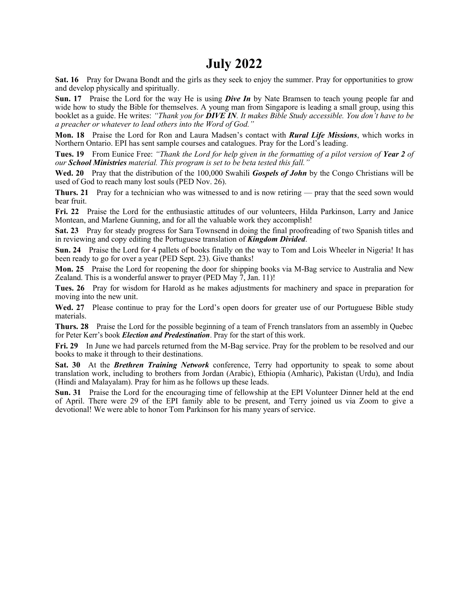### **July 2022**

**Sat. 16** Pray for Dwana Bondt and the girls as they seek to enjoy the summer. Pray for opportunities to grow and develop physically and spiritually.

**Sun. 17** Praise the Lord for the way He is using *Dive In* by Nate Bramsen to teach young people far and wide how to study the Bible for themselves. A young man from Singapore is leading a small group, using this booklet as a guide. He writes: *"Thank you for DIVE IN. It makes Bible Study accessible. You don't have to be a preacher or whatever to lead others into the Word of God."*

**Mon. 18** Praise the Lord for Ron and Laura Madsen's contact with *Rural Life Missions*, which works in Northern Ontario. EPI has sent sample courses and catalogues. Pray for the Lord's leading.

**Tues. 19** From Eunice Free: *"Thank the Lord for help given in the formatting of a pilot version of Year 2 of our School Ministries material. This program is set to be beta tested this fall."*

**Wed. 20** Pray that the distribution of the 100,000 Swahili *Gospels of John* by the Congo Christians will be used of God to reach many lost souls (PED Nov. 26).

**Thurs. 21** Pray for a technician who was witnessed to and is now retiring — pray that the seed sown would bear fruit.

**Fri. 22** Praise the Lord for the enthusiastic attitudes of our volunteers, Hilda Parkinson, Larry and Janice Montean, and Marlene Gunning, and for all the valuable work they accomplish!

**Sat. 23** Pray for steady progress for Sara Townsend in doing the final proofreading of two Spanish titles and in reviewing and copy editing the Portuguese translation of *Kingdom Divided*.

**Sun. 24** Praise the Lord for 4 pallets of books finally on the way to Tom and Lois Wheeler in Nigeria! It has been ready to go for over a year (PED Sept. 23). Give thanks!

**Mon. 25** Praise the Lord for reopening the door for shipping books via M-Bag service to Australia and New Zealand. This is a wonderful answer to prayer (PED May 7, Jan. 11)!

**Tues. 26** Pray for wisdom for Harold as he makes adjustments for machinery and space in preparation for moving into the new unit.

Wed. 27 Please continue to pray for the Lord's open doors for greater use of our Portuguese Bible study materials.

**Thurs. 28** Praise the Lord for the possible beginning of a team of French translators from an assembly in Quebec for Peter Kerr's book *Election and Predestination*. Pray for the start of this work.

**Fri. 29** In June we had parcels returned from the M-Bag service. Pray for the problem to be resolved and our books to make it through to their destinations.

**Sat. 30** At the *Brethren Training Network* conference, Terry had opportunity to speak to some about translation work, including to brothers from Jordan (Arabic), Ethiopia (Amharic), Pakistan (Urdu), and India (Hindi and Malayalam). Pray for him as he follows up these leads.

**Sun. 31** Praise the Lord for the encouraging time of fellowship at the EPI Volunteer Dinner held at the end of April. There were 29 of the EPI family able to be present, and Terry joined us via Zoom to give a devotional! We were able to honor Tom Parkinson for his many years of service.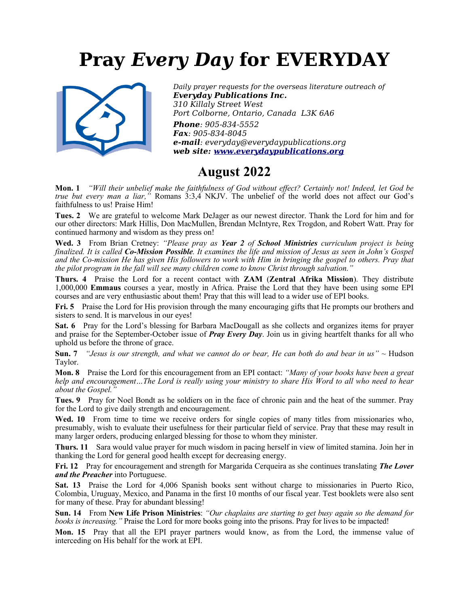# **Pray** *Every Day* **for EVERYDAY**



*Daily prayer requests for the overseas literature outreach of Everyday Publications Inc. 310 Killaly Street West Port Colborne, Ontario, Canada L3K 6A6 Phone: 905-834-5552*

*Fax: 905-834-8045 e-mail: everyday@everydaypublications.org web site: [www.everydaypublications.org](http://www.everydaypublications.org/)*

#### **August 2022**

**Mon. 1** *"Will their unbelief make the faithfulness of God without effect? Certainly not! Indeed, let God be true but every man a liar,"* Romans 3:3,4 NKJV. The unbelief of the world does not affect our God's faithfulness to us! Praise Him!

**Tues. 2** We are grateful to welcome Mark DeJager as our newest director. Thank the Lord for him and for our other directors: Mark Hillis, Don MacMullen, Brendan McIntyre, Rex Trogdon, and Robert Watt. Pray for continued harmony and wisdom as they press on!

**Wed. 3** From Brian Cretney: *"Please pray as Year 2 of School Ministries curriculum project is being finalized. It is called Co-Mission Possible. It examines the life and mission of Jesus as seen in John's Gospel and the Co-mission He has given His followers to work with Him in bringing the gospel to others. Pray that the pilot program in the fall will see many children come to know Christ through salvation."*

**Thurs. 4** Praise the Lord for a recent contact with **ZAM** (**Zentral Afrika Mission**). They distribute 1,000,000 **Emmaus** courses a year, mostly in Africa. Praise the Lord that they have been using some EPI courses and are very enthusiastic about them! Pray that this will lead to a wider use of EPI books.

**Fri. 5** Praise the Lord for His provision through the many encouraging gifts that He prompts our brothers and sisters to send. It is marvelous in our eyes!

**Sat. 6** Pray for the Lord's blessing for Barbara MacDougall as she collects and organizes items for prayer and praise for the September-October issue of *Pray Every Day*. Join us in giving heartfelt thanks for all who uphold us before the throne of grace.

**Sun. 7** *"Jesus is our strength, and what we cannot do or bear, He can both do and bear in us"* ~ Hudson Taylor.

**Mon. 8** Praise the Lord for this encouragement from an EPI contact: *"Many of your books have been a great help and encouragement…The Lord is really using your ministry to share His Word to all who need to hear about the Gospel."*

**Tues. 9** Pray for Noel Bondt as he soldiers on in the face of chronic pain and the heat of the summer. Pray for the Lord to give daily strength and encouragement.

Wed. 10 From time to time we receive orders for single copies of many titles from missionaries who, presumably, wish to evaluate their usefulness for their particular field of service. Pray that these may result in many larger orders, producing enlarged blessing for those to whom they minister.

**Thurs. 11** Sara would value prayer for much wisdom in pacing herself in view of limited stamina. Join her in thanking the Lord for general good health except for decreasing energy.

**Fri. 12** Pray for encouragement and strength for Margarida Cerqueira as she continues translating *The Lover and the Preacher* into Portuguese.

**Sat. 13** Praise the Lord for 4,006 Spanish books sent without charge to missionaries in Puerto Rico, Colombia, Uruguay, Mexico, and Panama in the first 10 months of our fiscal year. Test booklets were also sent for many of these. Pray for abundant blessing!

**Sun. 14** From **New Life Prison Ministries**: *"Our chaplains are starting to get busy again so the demand for books is increasing."* Praise the Lord for more books going into the prisons. Pray for lives to be impacted!

**Mon. 15** Pray that all the EPI prayer partners would know, as from the Lord, the immense value of interceding on His behalf for the work at EPI.